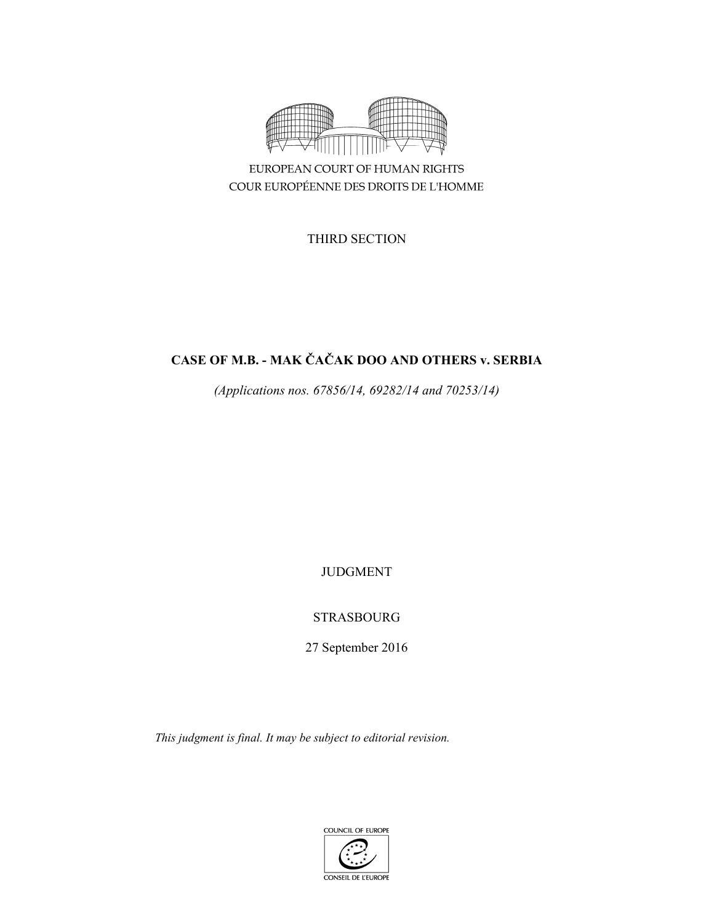

EUROPEAN COURT OF HUMAN RIGHTS COUR EUROPÉENNE DES DROITS DE L'HOMME

THIRD SECTION

# **CASE OF M.B. - MAK ČAČAK DOO AND OTHERS v. SERBIA**

*(Applications nos. 67856/14, 69282/14 and 70253/14)* 

JUDGMENT

STRASBOURG

27 September 2016

*This judgment is final. It may be subject to editorial revision.* 

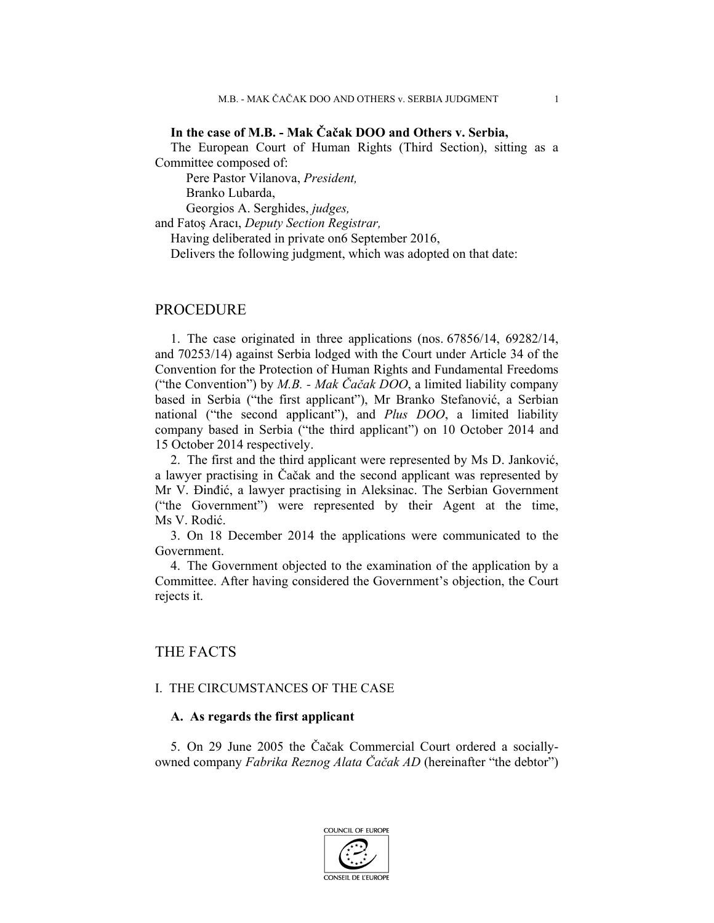# **In the case of M.B. - Mak Čačak DOO and Others v. Serbia,**

The European Court of Human Rights (Third Section), sitting as a Committee composed of:

Pere Pastor Vilanova, *President,* 

Branko Lubarda,

Georgios A. Serghides, *judges,*

and Fatoş Aracı, *Deputy Section Registrar,*

Having deliberated in private on6 September 2016,

Delivers the following judgment, which was adopted on that date:

# PROCEDURE

1. The case originated in three applications (nos. 67856/14, 69282/14, and 70253/14) against Serbia lodged with the Court under Article 34 of the Convention for the Protection of Human Rights and Fundamental Freedoms ("the Convention") by *M.B. - Mak Čačak DOO*, a limited liability company based in Serbia ("the first applicant"), Mr Branko Stefanović, a Serbian national ("the second applicant"), and *Plus DOO*, a limited liability company based in Serbia ("the third applicant") on 10 October 2014 and 15 October 2014 respectively.

2. The first and the third applicant were represented by Ms D. Janković, a lawyer practising in Čačak and the second applicant was represented by Mr V. Đinđić, a lawyer practising in Aleksinac. The Serbian Government ("the Government") were represented by their Agent at the time, Ms V. Rodić.

3. On 18 December 2014 the applications were communicated to the Government.

4. The Government objected to the examination of the application by a Committee. After having considered the Government's objection, the Court rejects it.

# THE FACTS

# I. THE CIRCUMSTANCES OF THE CASE

### **A. As regards the first applicant**

5. On 29 June 2005 the Čačak Commercial Court ordered a sociallyowned company *Fabrika Reznog Alata Čačak AD* (hereinafter "the debtor")

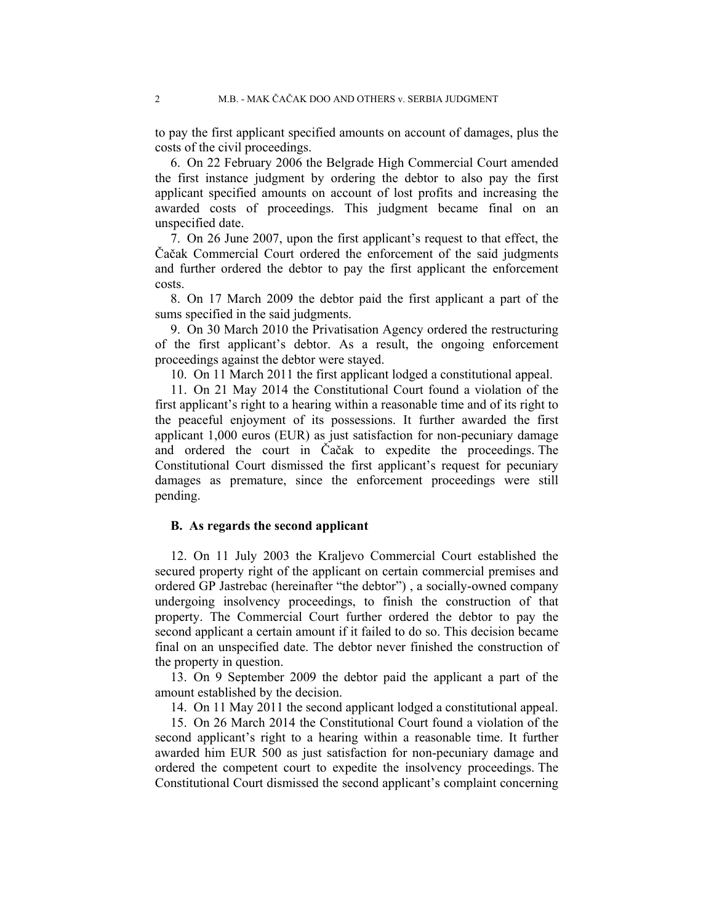to pay the first applicant specified amounts on account of damages, plus the costs of the civil proceedings.

6. On 22 February 2006 the Belgrade High Commercial Court amended the first instance judgment by ordering the debtor to also pay the first applicant specified amounts on account of lost profits and increasing the awarded costs of proceedings. This judgment became final on an unspecified date.

7. On 26 June 2007, upon the first applicant's request to that effect, the Čačak Commercial Court ordered the enforcement of the said judgments and further ordered the debtor to pay the first applicant the enforcement costs.

8. On 17 March 2009 the debtor paid the first applicant a part of the sums specified in the said judgments.

9. On 30 March 2010 the Privatisation Agency ordered the restructuring of the first applicant's debtor. As a result, the ongoing enforcement proceedings against the debtor were stayed.

10. On 11 March 2011 the first applicant lodged a constitutional appeal.

11. On 21 May 2014 the Constitutional Court found a violation of the first applicant's right to a hearing within a reasonable time and of its right to the peaceful enjoyment of its possessions. It further awarded the first applicant 1,000 euros (EUR) as just satisfaction for non-pecuniary damage and ordered the court in Čačak to expedite the proceedings. The Constitutional Court dismissed the first applicant's request for pecuniary damages as premature, since the enforcement proceedings were still pending.

### **B. As regards the second applicant**

12. On 11 July 2003 the Kraljevo Commercial Court established the secured property right of the applicant on certain commercial premises and ordered GP Jastrebac (hereinafter "the debtor") , a socially-owned company undergoing insolvency proceedings, to finish the construction of that property. The Commercial Court further ordered the debtor to pay the second applicant a certain amount if it failed to do so. This decision became final on an unspecified date. The debtor never finished the construction of the property in question.

13. On 9 September 2009 the debtor paid the applicant a part of the amount established by the decision.

14. On 11 May 2011 the second applicant lodged a constitutional appeal.

15. On 26 March 2014 the Constitutional Court found a violation of the second applicant's right to a hearing within a reasonable time. It further awarded him EUR 500 as just satisfaction for non-pecuniary damage and ordered the competent court to expedite the insolvency proceedings. The Constitutional Court dismissed the second applicant's complaint concerning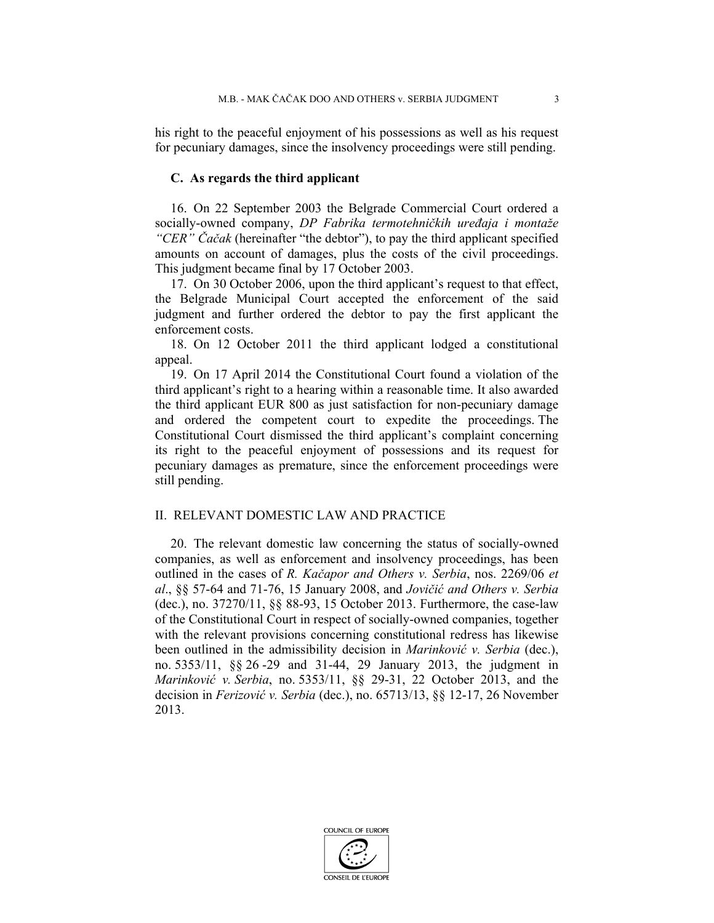his right to the peaceful enjoyment of his possessions as well as his request for pecuniary damages, since the insolvency proceedings were still pending.

### **C. As regards the third applicant**

16. On 22 September 2003 the Belgrade Commercial Court ordered a socially-owned company, *DP Fabrika termotehničkih uređaja i montaže "CER" Čačak* (hereinafter "the debtor"), to pay the third applicant specified amounts on account of damages, plus the costs of the civil proceedings. This judgment became final by 17 October 2003.

17. On 30 October 2006, upon the third applicant's request to that effect, the Belgrade Municipal Court accepted the enforcement of the said judgment and further ordered the debtor to pay the first applicant the enforcement costs.

18. On 12 October 2011 the third applicant lodged a constitutional appeal.

19. On 17 April 2014 the Constitutional Court found a violation of the third applicant's right to a hearing within a reasonable time. It also awarded the third applicant EUR 800 as just satisfaction for non-pecuniary damage and ordered the competent court to expedite the proceedings. The Constitutional Court dismissed the third applicant's complaint concerning its right to the peaceful enjoyment of possessions and its request for pecuniary damages as premature, since the enforcement proceedings were still pending.

# II. RELEVANT DOMESTIC LAW AND PRACTICE

20. The relevant domestic law concerning the status of socially-owned companies, as well as enforcement and insolvency proceedings, has been outlined in the cases of *R. Kačapor and Others v. Serbia*, nos. 2269/06 *et al*., §§ 57-64 and 71-76, 15 January 2008, and *Jovičić and Others v. Serbia* (dec.), no. 37270/11, §§ 88-93, 15 October 2013. Furthermore, the case-law of the Constitutional Court in respect of socially-owned companies, together with the relevant provisions concerning constitutional redress has likewise been outlined in the admissibility decision in *Marinković v. Serbia* (dec.), no. 5353/11, §§ 26 -29 and 31-44, 29 January 2013, the judgment in *Marinković v. Serbia*, no. 5353/11, §§ 29-31, 22 October 2013, and the decision in *Ferizović v. Serbia* (dec.), no. 65713/13, §§ 12-17, 26 November 2013.

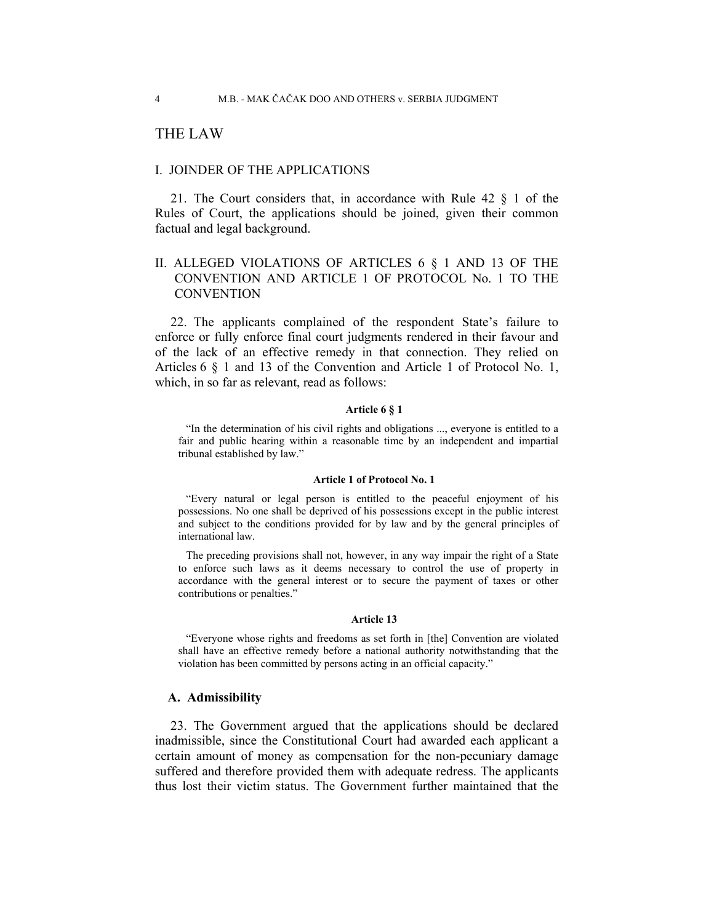# THE LAW

### I. JOINDER OF THE APPLICATIONS

21. The Court considers that, in accordance with Rule 42 § 1 of the Rules of Court, the applications should be joined, given their common factual and legal background.

# II. ALLEGED VIOLATIONS OF ARTICLES 6 § 1 AND 13 OF THE CONVENTION AND ARTICLE 1 OF PROTOCOL No. 1 TO THE **CONVENTION**

22. The applicants complained of the respondent State's failure to enforce or fully enforce final court judgments rendered in their favour and of the lack of an effective remedy in that connection. They relied on Articles 6 § 1 and 13 of the Convention and Article 1 of Protocol No. 1, which, in so far as relevant, read as follows:

#### **Article 6 § 1**

"In the determination of his civil rights and obligations ..., everyone is entitled to a fair and public hearing within a reasonable time by an independent and impartial tribunal established by law."

#### **Article 1 of Protocol No. 1**

"Every natural or legal person is entitled to the peaceful enjoyment of his possessions. No one shall be deprived of his possessions except in the public interest and subject to the conditions provided for by law and by the general principles of international law.

The preceding provisions shall not, however, in any way impair the right of a State to enforce such laws as it deems necessary to control the use of property in accordance with the general interest or to secure the payment of taxes or other contributions or penalties."

#### **Article 13**

"Everyone whose rights and freedoms as set forth in [the] Convention are violated shall have an effective remedy before a national authority notwithstanding that the violation has been committed by persons acting in an official capacity."

## **A. Admissibility**

23. The Government argued that the applications should be declared inadmissible, since the Constitutional Court had awarded each applicant a certain amount of money as compensation for the non-pecuniary damage suffered and therefore provided them with adequate redress. The applicants thus lost their victim status. The Government further maintained that the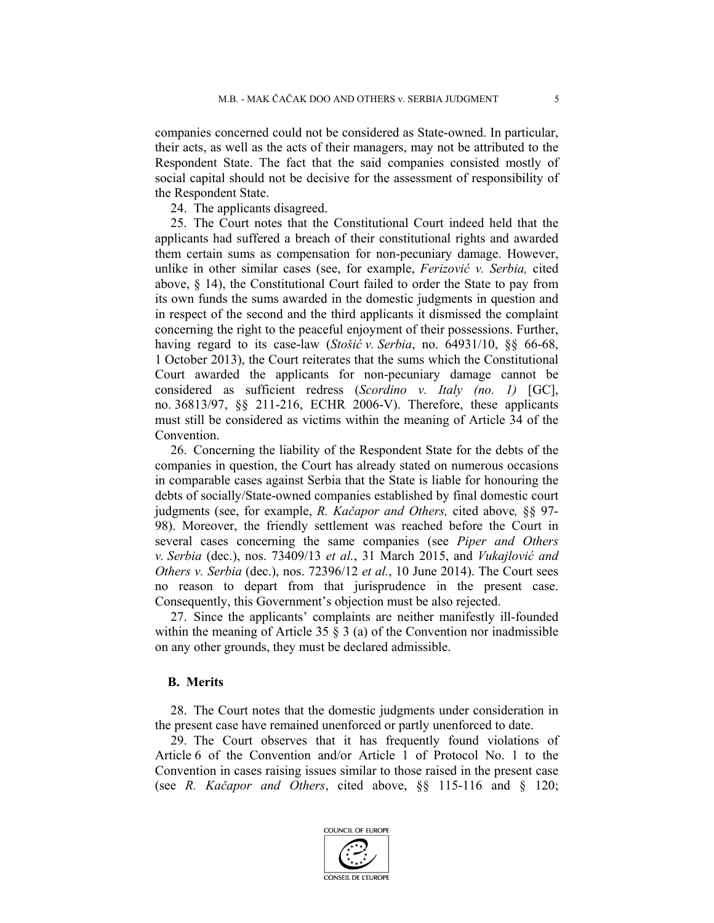companies concerned could not be considered as State-owned. In particular, their acts, as well as the acts of their managers, may not be attributed to the Respondent State. The fact that the said companies consisted mostly of social capital should not be decisive for the assessment of responsibility of the Respondent State.

24. The applicants disagreed.

25. The Court notes that the Constitutional Court indeed held that the applicants had suffered a breach of their constitutional rights and awarded them certain sums as compensation for non-pecuniary damage. However, unlike in other similar cases (see, for example, *Ferizović v. Serbia,* cited above, § 14), the Constitutional Court failed to order the State to pay from its own funds the sums awarded in the domestic judgments in question and in respect of the second and the third applicants it dismissed the complaint concerning the right to the peaceful enjoyment of their possessions. Further, having regard to its case-law (*Stošić v. Serbia*, no. 64931/10, §§ 66-68, 1 October 2013), the Court reiterates that the sums which the Constitutional Court awarded the applicants for non-pecuniary damage cannot be considered as sufficient redress (*Scordino v. Italy (no. 1)* [GC], no. 36813/97, §§ 211-216, ECHR 2006-V). Therefore, these applicants must still be considered as victims within the meaning of Article 34 of the Convention.

26. Concerning the liability of the Respondent State for the debts of the companies in question, the Court has already stated on numerous occasions in comparable cases against Serbia that the State is liable for honouring the debts of socially/State-owned companies established by final domestic court judgments (see, for example, *R. Kačapor and Others,* cited above*,* §§ 97- 98). Moreover, the friendly settlement was reached before the Court in several cases concerning the same companies (see *Piper and Others v. Serbia* (dec.), nos. 73409/13 *et al.*, 31 March 2015, and *Vukajlović and Others v. Serbia* (dec.), nos. 72396/12 *et al.*, 10 June 2014). The Court sees no reason to depart from that jurisprudence in the present case. Consequently, this Government's objection must be also rejected.

27. Since the applicants' complaints are neither manifestly ill-founded within the meaning of Article 35  $\S$  3 (a) of the Convention nor inadmissible on any other grounds, they must be declared admissible.

### **B. Merits**

28. The Court notes that the domestic judgments under consideration in the present case have remained unenforced or partly unenforced to date.

29. The Court observes that it has frequently found violations of Article 6 of the Convention and/or Article 1 of Protocol No. 1 to the Convention in cases raising issues similar to those raised in the present case (see *R. Kačapor and Others*, cited above, §§ 115-116 and § 120;

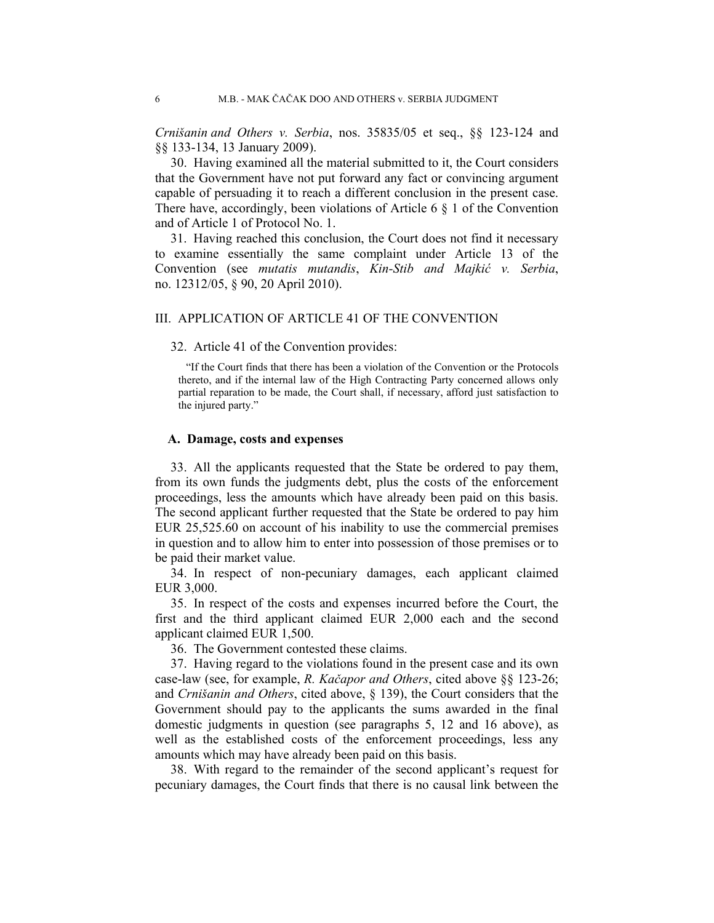*Crnišanin and Others v. Serbia*, nos. 35835/05 et seq., §§ 123-124 and §§ 133-134, 13 January 2009).

30. Having examined all the material submitted to it, the Court considers that the Government have not put forward any fact or convincing argument capable of persuading it to reach a different conclusion in the present case. There have, accordingly, been violations of Article 6  $\S$  1 of the Convention and of Article 1 of Protocol No. 1.

31. Having reached this conclusion, the Court does not find it necessary to examine essentially the same complaint under Article 13 of the Convention (see *mutatis mutandis*, *Kin-Stib and Majkić v. Serbia*, no. 12312/05, § 90, 20 April 2010).

### III. APPLICATION OF ARTICLE 41 OF THE CONVENTION

#### 32. Article 41 of the Convention provides:

"If the Court finds that there has been a violation of the Convention or the Protocols thereto, and if the internal law of the High Contracting Party concerned allows only partial reparation to be made, the Court shall, if necessary, afford just satisfaction to the injured party."

#### **A. Damage, costs and expenses**

33. All the applicants requested that the State be ordered to pay them, from its own funds the judgments debt, plus the costs of the enforcement proceedings, less the amounts which have already been paid on this basis. The second applicant further requested that the State be ordered to pay him EUR 25,525.60 on account of his inability to use the commercial premises in question and to allow him to enter into possession of those premises or to be paid their market value.

34. In respect of non-pecuniary damages, each applicant claimed EUR 3,000.

35. In respect of the costs and expenses incurred before the Court, the first and the third applicant claimed EUR 2,000 each and the second applicant claimed EUR 1,500.

36. The Government contested these claims.

37. Having regard to the violations found in the present case and its own case-law (see, for example, *R. Kačapor and Others*, cited above §§ 123-26; and *Crnišanin and Others*, cited above, § 139), the Court considers that the Government should pay to the applicants the sums awarded in the final domestic judgments in question (see paragraphs 5, 12 and 16 above), as well as the established costs of the enforcement proceedings, less any amounts which may have already been paid on this basis.

38. With regard to the remainder of the second applicant's request for pecuniary damages, the Court finds that there is no causal link between the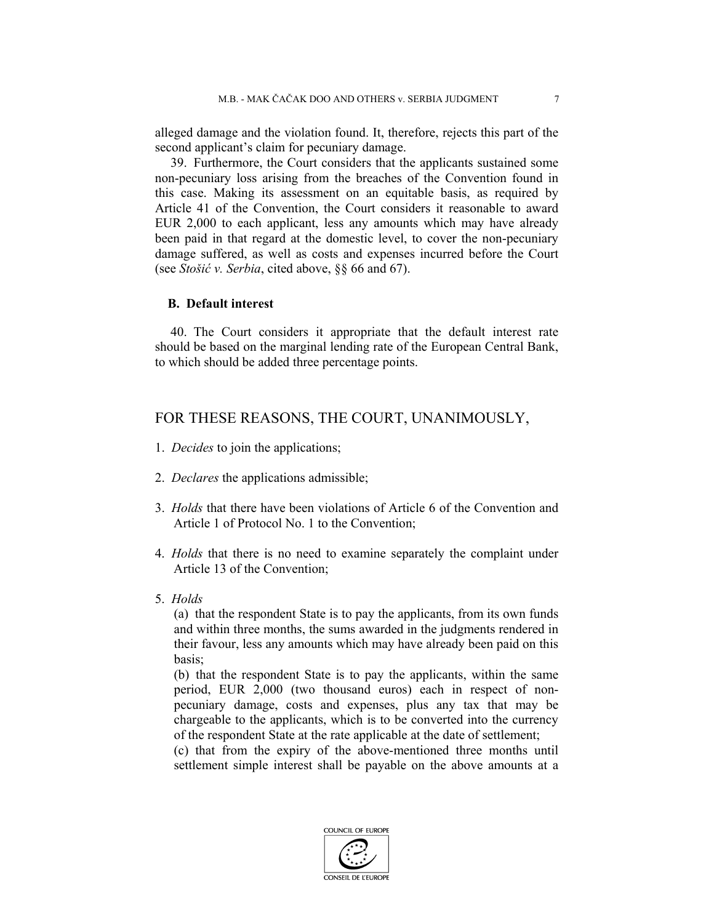alleged damage and the violation found. It, therefore, rejects this part of the second applicant's claim for pecuniary damage.

39. Furthermore, the Court considers that the applicants sustained some non-pecuniary loss arising from the breaches of the Convention found in this case. Making its assessment on an equitable basis, as required by Article 41 of the Convention, the Court considers it reasonable to award EUR 2,000 to each applicant, less any amounts which may have already been paid in that regard at the domestic level, to cover the non-pecuniary damage suffered, as well as costs and expenses incurred before the Court (see *Stošić v. Serbia*, cited above, §§ 66 and 67).

# **B. Default interest**

40. The Court considers it appropriate that the default interest rate should be based on the marginal lending rate of the European Central Bank, to which should be added three percentage points.

# FOR THESE REASONS, THE COURT, UNANIMOUSLY,

- 1. *Decides* to join the applications;
- 2. *Declares* the applications admissible;
- 3. *Holds* that there have been violations of Article 6 of the Convention and Article 1 of Protocol No. 1 to the Convention;
- 4. *Holds* that there is no need to examine separately the complaint under Article 13 of the Convention;
- 5. *Holds*

(a) that the respondent State is to pay the applicants, from its own funds and within three months, the sums awarded in the judgments rendered in their favour, less any amounts which may have already been paid on this basis;

(b) that the respondent State is to pay the applicants, within the same period, EUR 2,000 (two thousand euros) each in respect of nonpecuniary damage, costs and expenses, plus any tax that may be chargeable to the applicants, which is to be converted into the currency of the respondent State at the rate applicable at the date of settlement;

(c) that from the expiry of the above-mentioned three months until settlement simple interest shall be payable on the above amounts at a